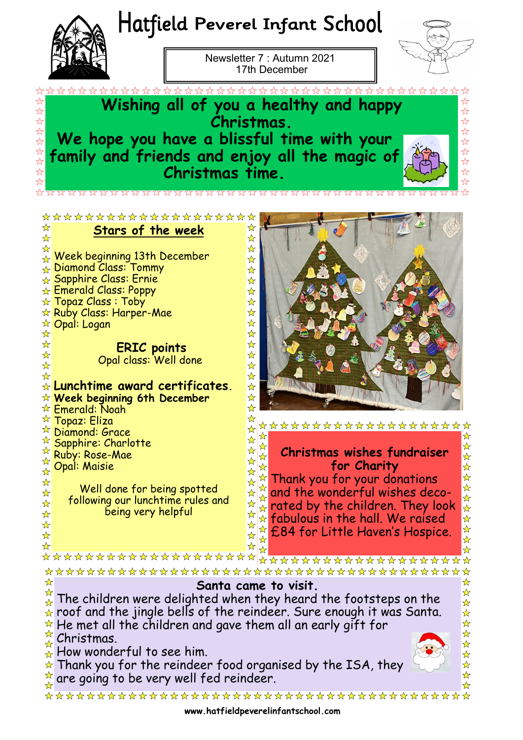



**Stars of the week** 

\*\*\*\*\*\*\*\*\*\*\*\*\*\*\*\*\*\*\*

**ERIC points** Opal class: Well done

Well done for being spotted following our lunchtime rules and being very helpful

\*\*\*\*\*\*\*\*\*\*\*\*\*\*\*\*\*\*\*\*

**Lunchtime award certificates. Week beginning 6th December**

Week beginning 13th December

**Diamond Class: Tommy** Sapphire Class: Ernie Emerald Class: Poppy  $\star$  Topaz Class : Toby  $\star$  Ruby Class: Harper-Mae

**☆ Opal: Logan** 

 $\stackrel{\star}{\ltimes}$  Emerald: Noah **★ Topaz: Eliza Diamond: Grace Sapphire: Charlotte** Ruby: Rose-Mae Opal: Maisie

Newsletter 7 : Autumn 2021 17th December



 $\frac{1}{2}$  $\overleftrightarrow{\mathcal{L}}$ 

☆

 $\frac{1}{\lambda}$ 

☆ ☆

☆  $\frac{1}{N}$ 

 $\frac{1}{\sqrt{2}}$ 

☆

☆

 $\frac{1}{2}$ 

☆

 $\frac{1}{\sqrt{2}}$ 

 $\frac{1}{\sqrt{2}}$ 

 $\frac{1}{N}$ 

☆

 $\frac{1}{\sqrt{2}}$ 

 $\frac{1}{\sqrt{2}}$ 

 $\star$ 

 $\star$ 

**Wishing all of you a healthy and happy Christmas. We hope you have a blissful time with your family and friends and enjoy all the magic of Christmas time.** 

☆

 $\frac{\lambda}{\lambda}$ ☆

 $\frac{1}{\sqrt{2}}$  $\frac{1}{\sqrt{2}}$  $\frac{\lambda}{\lambda}$  $\frac{1}{\sqrt{2}}$  $\frac{1}{\sqrt{2}}$  $\frac{1}{\sqrt{2}}$  $\frac{1}{\sqrt{2}}$  $\frac{\lambda}{\lambda}$ 

 $\frac{1}{\mathcal{N}}$  $\frac{1}{\lambda}$ 

 $\frac{1}{\sqrt{2}}$ 

 $\frac{\lambda}{\lambda}$ 

 $\frac{\lambda}{\lambda}$  $\frac{1}{\sqrt{2}}$  $\frac{\lambda}{\lambda}$  $\frac{1}{\sqrt{2}}$ 

 $\overrightarrow{\mathbf{x}}$ 

 $\star$ 

☆

☆

 $\frac{1}{\sqrt{2}}$ 

☆

☆

☆

 $\frac{1}{\sqrt{2}}$ 

 $\star$ 

毕毕毕  $\frac{1}{\sqrt{2}}$  $\overrightarrow{\mathbf{x}}$ 

**Christmas wishes fundraiser for Charity**

 $\mathbf{\hat{x}}$ 

☆

 $\frac{\lambda}{\lambda}$ 

 $\mathbf{\hat{x}}$ 

 $\frac{\lambda}{M}$ 

 $\frac{\lambda}{\lambda}$ 

☆

 $\rightarrow$ 

 $\frac{1}{N}$ 

☆ ☆  $\frac{1}{\sqrt{2}}$  $\frac{\lambda}{\lambda}$  $\frac{1}{\sqrt{2}}$ 

 $\frac{1}{\mathcal{N}}$ ☆

\*\*\*\*\*\*\*\*\*\*\*\*\*\*\*\*\*\*\*

Thank you for your donations ☆ and the wonderful wishes decorated by the children. They look  $\frac{1}{2}$  $\star$  fabulous in the hall. We raised ☆ £84 for Little Haven's Hospice.

\*\*\*\*\*\*\*\*\*\*\*\*\*\*\*\*\*\*\* ☆ **Santa came to visit.**  The children were delighted when they heard the footsteps on the  $\star$  roof and the jingle bells of the reindeer. Sure enough it was Santa.  $\star$  He met all the children and gave them all an early gift for Christmas. How wonderful to see him. Thank you for the reindeer food organised by the ISA, they are going to be very well fed reindeer.